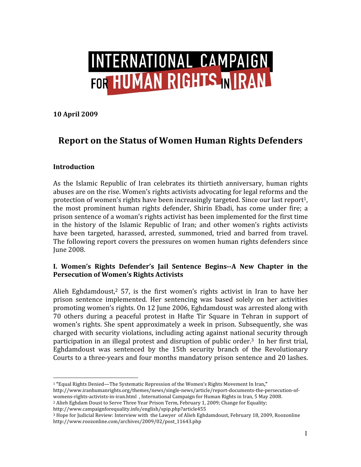# INTERNATIONAL CAMPAIGN FOR HUMAN RIGHTS NIRAN

**10 April 2009**

# **Report on the Status of Women Human Rights Defenders**

## **Introduction**

As the Islamic Republic of Iran celebrates its thirtieth anniversary, human rights abuses are on the rise. Women's rights activists advocating for legal reforms and the protection of women's rights have been increasingly targeted. Since our last report1, the most prominent human rights defender, Shirin Ebadi, has come under fire; a prison sentence of a woman's rights activist has been implemented for the first time in the history of the Islamic Republic of Iran; and other women's rights activists have been targeted, harassed, arrested, summoned, tried and barred from travel. The following report covers the pressures on women human rights defenders since June 2008.

#### **I. Women's Rights Defender's Jail Sentence Begins--A New Chapter in the Persecution of Women's Rights Activists**

Alieh Eghdamdoust, $2$  57, is the first women's rights activist in Iran to have her prison sentence implemented. Her sentencing was based solely on her activities promoting women's rights. On 12 June 2006, Eghdamdoust was arrested along with 70 others during a peaceful protest in Hafte Tir Square in Tehran in support of women's rights. She spent approximately a week in prison. Subsequently, she was charged with security violations, including acting against national security through participation in an illegal protest and disruption of public order.3 In her first trial, Eghdamdoust was sentenced by the 15th security branch of the Revolutionary Courts to a three‐years and four months mandatory prison sentence and 20 lashes.

-<sup>1</sup> **"**Equal Rights Denied—The Systematic Repression of the Women's Rights Movement In Iran**,"** http://www.iranhumanrights.org/themes/news/single‐news/article/report‐documents‐the‐persecution‐of‐

womens-rights-activists-in-iran.html, International Campaign for Human Rights in Iran, 5 May 2008.

2 Alieh Eghdam Doust to Serve Three Year Prison Term, February 1, 2009; Change for Equality; http://www.campaignforequality.info/english/spip.php?article455

<sup>3</sup> Hope for Judicial Review: Interview with the Lawyer of Alieh Eghdamdoust, February 18, 2009, Roozonline http://www.roozonline.com/archives/2009/02/post\_11643.php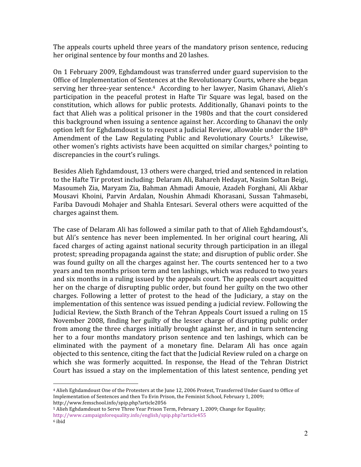The appeals courts upheld three years of the mandatory prison sentence, reducing her original sentence by four months and 20 lashes.

On 1 February 2009, Eghdamdoust was transferred under guard supervision to the Office of Implementation of Sentences at the Revolutionary Courts, where she began serving her three-year sentence.<sup>4</sup> According to her lawyer, Nasim Ghanavi, Alieh's participation in the peaceful protest in Hafte Tir Square was legal, based on the constitution, which allows for public protests. Additionally, Ghanavi points to the fact that Alieh was a political prisoner in the 1980s and that the court considered this background when issuing a sentence against her. According to Ghanavi the only option left for Eghdamdoust is to request a Judicial Review, allowable under the 18th Amendment of the Law Regulating Public and Revolutionary Courts.<sup>5</sup> Likewise, other women's rights activists have been acquitted on similar charges,<sup>6</sup> pointing to discrepancies in the court's rulings.

Besides Alieh Eghdamdoust, 13 others were charged, tried and sentenced in relation to the Hafte Tir protest including: Delaram Ali, Bahareh Hedayat, Nasim Soltan Beigi, Masoumeh Zia, Maryam Zia, Bahman Ahmadi Amouie, Azadeh Forghani, Ali Akbar Mousavi Khoini, Parvin Ardalan, Noushin Ahmadi Khorasani, Sussan Tahmasebi, Fariba Davoudi Mohajer and Shahla Entesari. Several others were acquitted of the charges against them.

The case of Delaram Ali has followed a similar path to that of Alieh Eghdamdoust's, but Ali's sentence has never been implemented. In her original court hearing, Ali faced charges of acting against national security through participation in an illegal protest; spreading propaganda against the state; and disruption of public order. She was found guilty on all the charges against her. The courts sentenced her to a two years and ten months prison term and ten lashings, which was reduced to two years and six months in a ruling issued by the appeals court. The appeals court acquitted her on the charge of disrupting public order, but found her guilty on the two other charges. Following a letter of protest to the head of the Judiciary, a stay on the implementation of this sentence was issued pending a judicial review. Following the Judicial Review, the Sixth Branch of the Tehran Appeals Court issued a ruling on 15 November 2008, finding her guilty of the lesser charge of disrupting public order from among the three charges initially brought against her, and in turn sentencing her to a four months mandatory prison sentence and ten lashings, which can be eliminated with the payment of a monetary fine. Delaram Ali has once again objected to this sentence, citing the fact that the Judicial Review ruled on a charge on which she was formerly acquitted. In response, the Head of the Tehran District Court has issued a stay on the implementation of this latest sentence, pending yet

<sup>&</sup>lt;u>.</u> 4 Alieh Eghdamdoust One of the Protesters at the June 12, 2006 Protest, Transferred Under Guard to Office of Implementation of Sentences and then To Evin Prison, the Feminist School, February 1, 2009; http://www.femschool.info/spip.php?article2056

<sup>5</sup> Alieh Eghdamdoust to Serve Three Year Prison Term, February 1, 2009; Change for Equality; http://www.campaignforequality.info/english/spip.php?article455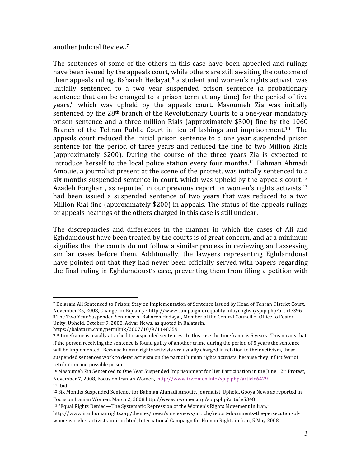#### another Judicial Review.7

The sentences of some of the others in this case have been appealed and rulings have been issued by the appeals court, while others are still awaiting the outcome of their appeals ruling. Bahareh Hedayat, $8$  a student and women's rights activist, was initially sentenced to a two year suspended prison sentence (a probationary sentence that can be changed to a prison term at any time) for the period of five  $years<sup>9</sup>$  which was upheld by the appeals court. Masoumeh Zia was initially sentenced by the 28<sup>th</sup> branch of the Revolutionary Courts to a one-year mandatory prison sentence and a three million Rials (approximately \$300) fine by the 1060 Branch of the Tehran Public Court in lieu of lashings and imprisonment.<sup>10</sup> The appeals court reduced the initial prison sentence to a one year suspended prison sentence for the period of three years and reduced the fine to two Million Rials (approximately \$200). During the course of the three years Zia is expected to introduce herself to the local police station every four months.<sup>11</sup> Bahman Ahmadi Amouie, a journalist present at the scene of the protest, was initially sentenced to a six months suspended sentence in court, which was upheld by the appeals court.<sup>12</sup> Azadeh Forghani, as reported in our previous report on women's rights activists,<sup>13</sup> had been issued a suspended sentence of two years that was reduced to a two Million Rial fine (approximately \$200) in appeals. The status of the appeals rulings or appeals hearings of the others charged in this case is still unclear.

The discrepancies and differences in the manner in which the cases of Ali and Eghdamdoust have been treated by the courts is of great concern, and at a minimum signifies that the courts do not follow a similar process in reviewing and assessing similar cases before them. Additionally, the lawyers representing Eghdamdoust have pointed out that they had never been officially served with papers regarding the final ruling in Eghdamdoust's case, preventing them from filing a petition with

-

<sup>7</sup> Delaram Ali Sentenced to Prison; Stay on Implementation of Sentence Issued by Head of Tehran District Court, November 25, 2008, Change for Equality ، http://www.campaignforequality.info/english/spip.php?article396 8 The Two Year Suspended Sentence of Bahareh Hedayat, Member of the Central Council of Office to Foster Unity, Upheld, October 9, 2008, Advar News, as quoted in Balatarin,

https://balatarin.com/permlink/2007/10/9/1148359

<sup>&</sup>lt;sup>9</sup> A timeframe is usually attached to suspended sentences. In this case the timeframe is 5 years. This means that if the person receiving the sentence is found guilty of another crime during the period of 5 years the sentence will be implemented. Because human rights activists are usually charged in relation to their activism, these suspended sentences work to deter activism on the part of human rights activists, because they inflict fear of retribution and possible prison.

<sup>10</sup> Masoumeh Zia Sentenced to One Year Suspended Imprisonment for Her Participation in the June 12th Protest, November 7, 2008, Focus on Iranian Women, http://www.irwomen.info/spip.php?article6429 11 Ibid.

<sup>12</sup> Six Months Suspended Sentence for Bahman Ahmadi Amouie, Journalist, Upheld, Gooya News as reported in Focus on Iranian Women, March 2, 2008 http://www.irwomen.org/spip.php?article5348

<sup>13</sup> **"**Equal Rights Denied—The Systematic Repression of the Women's Rights Movement In Iran**,"**

http://www.iranhumanrights.org/themes/news/single-news/article/report-documents-the-persecution-ofwomens-rights-activists-in-iran.html, International Campaign for Human Rights in Iran, 5 May 2008.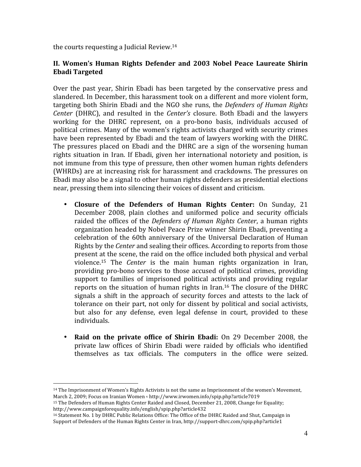the courts requesting a Judicial Review.14

#### **II. Women's Human Rights Defender and 2003 Nobel Peace Laureate Shirin Ebadi Targeted**

Over the past year, Shirin Ebadi has been targeted by the conservative press and slandered. In December, this harassment took on a different and more violent form, targeting both Shirin Ebadi and the NGO she runs, the *Defenders of Human Rights Center* (DHRC), and resulted in the *Center's* closure. Both Ebadi and the lawyers working for the DHRC represent, on a pro-bono basis, individuals accused of political crimes. Many of the women's rights activists charged with security crimes have been represented by Ebadi and the team of lawyers working with the DHRC. The pressures placed on Ebadi and the DHRC are a sign of the worsening human rights situation in Iran. If Ebadi, given her international notoriety and position, is not immune from this type of pressure, then other women human rights defenders (WHRDs) are at increasing risk for harassment and crackdowns. The pressures on Ebadi may also be a signal to other human rights defenders as presidential elections near, pressing them into silencing their voices of dissent and criticism.

- **Closure of the Defenders of Human Rights Center:**  On Sunday, 21 December 2008, plain clothes and uniformed police and security officials raided the offices of the *Defenders of Human Rights Center*, a human rights organization headed by Nobel Peace Prize winner Shirin Ebadi, preventing a celebration of the 60th anniversary of the Universal Declaration of Human Rights by the *Center* and sealing their offices. According to reports from those present at the scene, the raid on the office included both physical and verbal violence.15 The *Center* is the main human rights organization in Iran, providing pro‐bono services to those accused of political crimes, providing support to families of imprisoned political activists and providing regular reports on the situation of human rights in Iran.<sup>16</sup> The closure of the DHRC signals a shift in the approach of security forces and attests to the lack of tolerance on their part, not only for dissent by political and social activists, but also for any defense, even legal defense in court, provided to these individuals.
- **Raid on the private office of Shirin Ebadi:**  On 29 December 2008, the private law offices of Shirin Ebadi were raided by officials who identified themselves as tax officials. The computers in the office were seized.

<u>.</u>

<sup>14</sup> The Imprisonment of Women's Rights Activists is not the same as Imprisonment of the women's Movement, March 2, 2009; Focus on Iranian Women ، http://www.irwomen.info/spip.php?article7019

<sup>15</sup> The Defenders of Human Rights Center Raided and Closed, December 21, 2008, Change for Equality; http://www.campaignforequality.info/english/spip.php?article432

<sup>16</sup> Statement No. 1 by DHRC Public Relations Office: The Office of the DHRC Raided and Shut, Campaign in Support of Defenders of the Human Rights Center in Iran, http://support‐dhrc.com/spip.php?article1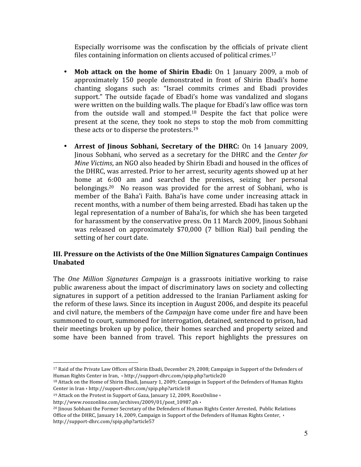Especially worrisome was the confiscation by the officials of private client files containing information on clients accused of political crimes.17

- **Mob attack on the home of Shirin Ebadi:** On 1 January 2009, a mob of approximately 150 people demonstrated in front of Shirin Ebadi's home chanting slogans such as: "Israel commits crimes and Ebadi provides support." The outside façade of Ebadi's home was vandalized and slogans were written on the building walls. The plaque for Ebadi's law office was torn from the outside wall and stomped. $18$  Despite the fact that police were present at the scene, they took no steps to stop the mob from committing these acts or to disperse the protesters.19
- **Arrest of Jinous Sobhani, Secretary of the DHRC:**  On 14 January 2009, Jinous Sobhani, who served as a secretary for the DHRC and the *Center for Mine Victims*, an NGO also headed by Shirin Ebadi and housed in the offices of the DHRC, was arrested. Prior to her arrest, security agents showed up at her home at 6:00 am and searched the premises, seizing her personal belongings.<sup>20</sup> No reason was provided for the arrest of Sobhani, who is member of the Baha'i Faith. Baha'is have come under increasing attack in recent months, with a number of them being arrested. Ebadi has taken up the legal representation of a number of Baha'is, for which she has been targeted for harassment by the conservative press. On 11 March 2009, Jinous Sobhani was released on approximately \$70,000 (7 billion Rial) bail pending the setting of her court date.

# **III. Pressure on the Activists of the One Million Signatures Campaign Continues Unabated**

The *One Million Signatures Campaign* is a grassroots initiative working to raise public awareness about the impact of discriminatory laws on society and collecting signatures in support of a petition addressed to the Iranian Parliament asking for the reform of these laws. Since its inception in August 2006, and despite its peaceful and civil nature, the members of the *Campaign* have come under fire and have been summoned to court, summoned for interrogation, detained, sentenced to prison, had their meetings broken up by police, their homes searched and property seized and some have been banned from travel. This report highlights the pressures on

<u>.</u>

<sup>17</sup> Raid of the Private Law Offices of Shirin Ebadi, December 29, 2008; Campaign in Support of the Defenders of Human Rights Center in Iran,  $\cdot$  http://support-dhrc.com/spip.php?article20

<sup>&</sup>lt;sup>18</sup> Attack on the Home of Shirin Ebadi, January 1, 2009; Campaign in Support of the Defenders of Human Rights Center in Iran ، http://support‐dhrc.com/spip.php?article18

<sup>19</sup> Attack on the Protest in Support of Gaza, January 12, 2009, RoozOnline ،

http://www.roozonline.com/archives/2009/01/post\_10987.ph ،

<sup>20</sup> Jinous Sobhani the Former Secretary of the Defenders of Human Rights Center Arrested, Public Relations Office of the DHRC, January 14, 2009, Campaign in Support of the Defenders of Human Rights Center,  $\cdot$ http://support‐dhrc.com/spip.php?article57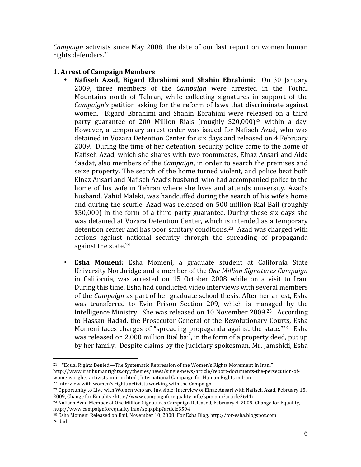*Campaign* activists since May 2008, the date of our last report on women human rights defenders.21

#### **1. Arrest of Campaign Members**

- **Nafiseh Azad, Bigard Ebrahimi and Shahin Ebrahimi:** On 30 January 2009, three members of the *Campaign* were arrested in the Tochal Mountains north of Tehran, while collecting signatures in support of the *Campaign's* petition asking for the reform of laws that discriminate against women. Bigard Ebrahimi and Shahin Ebrahimi were released on a third party guarantee of 200 Million Rials (roughly  $$20,000$ )<sup>22</sup> within a day. However, a temporary arrest order was issued for Nafiseh Azad, who was detained in Vozara Detention Center for six days and released on 4 February 2009. During the time of her detention, security police came to the home of Nafiseh Azad, which she shares with two roommates, Elnaz Ansari and Aida Saadat, also members of the *Campaign*, in order to search the premises and seize property. The search of the home turned violent, and police beat both Elnaz Ansari and Nafiseh Azad's husband, who had accompanied police to the home of his wife in Tehran where she lives and attends university. Azad's husband, Vahid Maleki, was handcuffed during the search of his wife's home and during the scuffle. Azad was released on 500 million Rial Bail (roughly \$50,000) in the form of a third party guarantee. During these six days she was detained at Vozara Detention Center, which is intended as a temporary detention center and has poor sanitary conditions.23 Azad was charged with actions against national security through the spreading of propaganda against the state.24
- **Esha Momeni:**  Esha Momeni, a graduate student at California State University Northridge and a member of the *One Million Signatures Campaign* in California, was arrested on 15 October 2008 while on a visit to Iran. During this time, Esha had conducted video interviews with several members of the *Campaign* as part of her graduate school thesis. After her arrest, Esha was transferred to Evin Prison Section 209, which is managed by the Intelligence Ministry. She was released on 10 November 2009.25. According to Hassan Hadad, the Prosecutor General of the Revolutionary Courts, Esha Momeni faces charges of "spreading propaganda against the state."<sup>26</sup> Esha was released on 2,000 million Rial bail, in the form of a property deed, put up by her family. Despite claims by the Judiciary spokesman, Mr. Jamshidi, Esha

<sup>-</sup><sup>21</sup> **"**Equal Rights Denied—The Systematic Repression of the Women's Rights Movement In Iran**,"** http://www.iranhumanrights.org/themes/news/single‐news/article/report‐documents‐the‐persecution‐of‐

womens‐rights‐activists‐in‐iran.html , International Campaign for Human Rights in Iran. 22 Interview with women's rights activists working with the Campaign.

<sup>23</sup> Opportunity to Live with Women who are Invisible: Interview of Elnaz Ansari with Nafiseh Azad, February 15, 2009, Change for Equality ،http://www.campaignforequality.info/spip.php?article3641،

<sup>24</sup> Nafiseh Azad Member of One Million Signatures Campaign Released, February 4, 2009, Change for Equality, http://www.campaignforequality.info/spip.php?article3594

<sup>25</sup> Esha Momeni Released on Bail, November 10, 2008; For Esha Blog, http://for‐esha.blogspot.com 26 ibid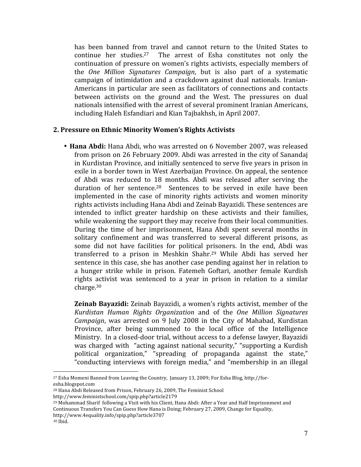has been banned from travel and cannot return to the United States to continue her studies.<sup>27</sup> The arrest of Esha constitutes not only the continuation of pressure on women's rights activists, especially members of the *One Million Signatures Campaign*, but is also part of a systematic campaign of intimidation and a crackdown against dual nationals. Iranian‐ Americans in particular are seen as facilitators of connections and contacts between activists on the ground and the West. The pressures on dual nationals intensified with the arrest of several prominent Iranian Americans, including Haleh Esfandiari and Kian Tajbakhsh, in April 2007.

#### **2. Pressure on Ethnic Minority Women's Rights Activists**

• **Hana Abdi:** Hana Abdi, who was arrested on 6 November 2007, was released from prison on 26 February 2009. Abdi was arrested in the city of Sanandaj in Kurdistan Province, and initially sentenced to serve five years in prison in exile in a border town in West Azerbaijan Province. On appeal, the sentence of Abdi was reduced to 18 months. Abdi was released after serving the duration of her sentence.<sup>28</sup> Sentences to be served in exile have been implemented in the case of minority rights activists and women minority rights activists including Hana Abdi and Zeinab Bayazidi. These sentences are intended to inflict greater hardship on these activists and their families, while weakening the support they may receive from their local communities. During the time of her imprisonment, Hana Abdi spent several months in solitary confinement and was transferred to several different prisons, as some did not have facilities for political prisoners. In the end, Abdi was transferred to a prison in Meshkin Shahr.29 While Abdi has served her sentence in this case, she has another case pending against her in relation to a hunger strike while in prison. Fatemeh Goftari, another female Kurdish rights activist was sentenced to a year in prison in relation to a similar charge.30

**Zeinab Bayazidi:** Zeinab Bayazidi, a women's rights activist, member of the *Kurdistan Human Rights Organization* and of the *One Million Signatures Campaign*, was arrested on 9 July 2008 in the City of Mahabad, Kurdistan Province, after being summoned to the local office of the Intelligence Ministry. In a closed‐door trial, without access to a defense lawyer, Bayazidi was charged with "acting against national security," "supporting a Kurdish political organization," "spreading of propaganda against the state," "conducting interviews with foreign media," and "membership in an illegal

http://www.feministschool.com/spip.php?article2179

<u>.</u>

<sup>&</sup>lt;sup>27</sup> Esha Momeni Banned from Leaving the Country, January 13, 2009; For Esha Blog, http://foresha.blogspot.com

<sup>28</sup> Hana Abdi Released from Prison, February 26, 2009, The Feminist School

<sup>29</sup> Mohammad Sharif following a Visit with his Client, Hana Abdi: After a Year and Half Imprisonment and Continuous Transfers You Can Guess How Hana is Doing; February 27, 2009, Change for Equality, http://www.4equality.info/spip.php?article3707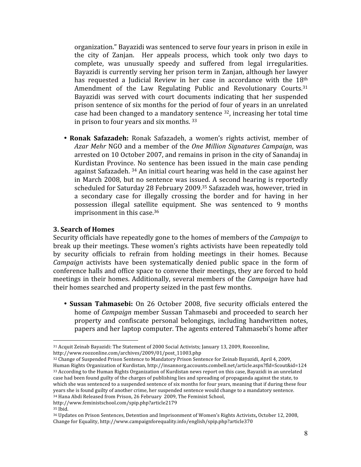organization." Bayazidi was sentenced to serve four years in prison in exile in the city of Zanjan. Her appeals process, which took only two days to complete, was unusually speedy and suffered from legal irregularities. Bayazidi is currently serving her prison term in Zanjan, although her lawyer has requested a Judicial Review in her case in accordance with the 18<sup>th</sup> Amendment of the Law Regulating Public and Revolutionary Courts.<sup>31</sup> Bayazidi was served with court documents indicating that her suspended prison sentence of six months for the period of four of years in an unrelated case had been changed to a mandatory sentence  $^{32}$ , increasing her total time in prison to four years and six months. 33

• **Ronak Safazadeh:** Ronak Safazadeh, a women's rights activist, member of *Azar Mehr* NGO and a member of the *One Million Signatures Campaign*, was arrested on 10 October 2007, and remains in prison in the city of Sanandaj in Kurdistan Province. No sentence has been issued in the main case pending against Safazadeh. 34 An initial court hearing was held in the case against her in March 2008, but no sentence was issued. A second hearing is reportedly scheduled for Saturday 28 February 2009.<sup>35</sup> Safazadeh was, however, tried in a secondary case for illegally crossing the border and for having in her possession illegal satellite equipment. She was sentenced to 9 months imprisonment in this case.36

#### **3. Search of Homes**

Security officials have repeatedly gone to the homes of members of the *Campaign* to break up their meetings. These women's rights activists have been repeatedly told by security officials to refrain from holding meetings in their homes. Because *Campaign* activists have been systematically denied public space in the form of conference halls and office space to convene their meetings, they are forced to hold meetings in their homes. Additionally, several members of the *Campaign* have had their homes searched and property seized in the past few months.

• **Sussan Tahmasebi:**  On 26 October 2008, five security officials entered the home of *Campaign* member Sussan Tahmasebi and proceeded to search her property and confiscate personal belongings, including handwritten notes, papers and her laptop computer. The agents entered Tahmasebi's home after

<sup>-</sup>31 Acquit Zeinab Bayazidi: The Statement of 2000 Social Activists; January 13, 2009, Roozonline, http://www.roozonline.com/archives/2009/01/post\_11003.php

<sup>32</sup> Change of Suspended Prison Sentence to Mandatory Prison Sentence for Zeinab Bayazidi, April 4, 2009, Human Rights Organization of Kurdistan, http://insannorg.accounts.combell.net/article.aspx?fld=Scout&id=124 33 According to the Human Rights Organization of Kurdistan news report on this case, Bayazidi in an unrelated case had been found guilty of the charges of publishing lies and spreading of propaganda against the state, to which she was sentenced to a suspended sentence of six months for four years, meaning that if during these four years she is found guilty of another crime, her suspended sentence would change to a mandatory sentence. 34 Hana Abdi Released from Prison, 26 February 2009, The Feminist School,

http://www.feministschool.com/spip.php?article2179

<sup>35</sup> Ibid.

<sup>36</sup> Updates on Prison Sentences, Detention and Imprisonment of Women's Rights Activists**,** October 12, 2008, Change for Equality, http://www.campaignforequality.info/english/spip.php?article370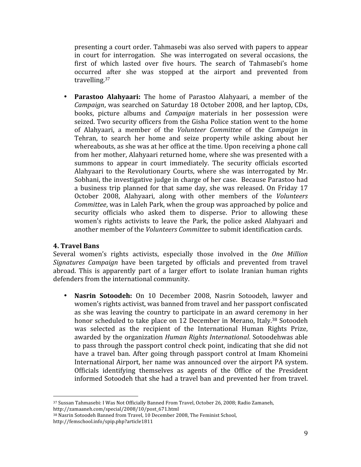presenting a court order. Tahmasebi was also served with papers to appear in court for interrogation. She was interrogated on several occasions, the first of which lasted over five hours. The search of Tahmasebi's home occurred after she was stopped at the airport and prevented from travelling.37

• **Parastoo Alahyaari:** The home of Parastoo Alahyaari, a member of the *Campaign*, was searched on Saturday 18 October 2008, and her laptop, CDs, books, picture albums and *Campaign* materials in her possession were seized. Two security officers from the Gisha Police station went to the home of Alahyaari, a member of the *Volunteer Committee* of the *Campaign* in Tehran, to search her home and seize property while asking about her whereabouts, as she was at her office at the time. Upon receiving a phone call from her mother, Alahyaari returned home, where she was presented with a summons to appear in court immediately. The security officials escorted Alahyaari to the Revolutionary Courts, where she was interrogated by Mr. Sobhani, the investigative judge in charge of her case. Because Parastoo had a business trip planned for that same day, she was released. On Friday 17 October 2008, Alahyaari, along with other members of the *Volunteers Committee*, was in Laleh Park, when the group was approached by police and security officials who asked them to disperse. Prior to allowing these women's rights activists to leave the Park, the police asked Alahyaari and another member of the *Volunteers Committee* to submit identification cards.

#### **4. Travel Bans**

<u>.</u>

Several women's rights activists, especially those involved in the *One Million Signatures Campaign*  have been targeted by officials and prevented from travel abroad. This is apparently part of a larger effort to isolate Iranian human rights defenders from the international community.

• **Nasrin Sotoodeh:**  On 10 December 2008, Nasrin Sotoodeh, lawyer and women's rights activist, was banned from travel and her passport confiscated as she was leaving the country to participate in an award ceremony in her honor scheduled to take place on 12 December in Merano, Italy.<sup>38</sup> Sotoodeh was selected as the recipient of the International Human Rights Prize, awarded by the organization *Human Rights International*. Sotoodehwas able to pass through the passport control check point, indicating that she did not have a travel ban. After going through passport control at Imam Khomeini International Airport, her name was announced over the airport PA system. Officials identifying themselves as agents of the Office of the President informed Sotoodeh that she had a travel ban and prevented her from travel.

<sup>37</sup> Sussan Tahmasebi: I Was Not Officially Banned From Travel, October 26, 2008; Radio Zamaneh, http://zamaaneh.com/special/2008/10/post\_671.html

<sup>38</sup> Nasrin Sotoodeh Banned from Travel, 10 December 2008, The Feminist School,

http://femschool.info/spip.php?article1811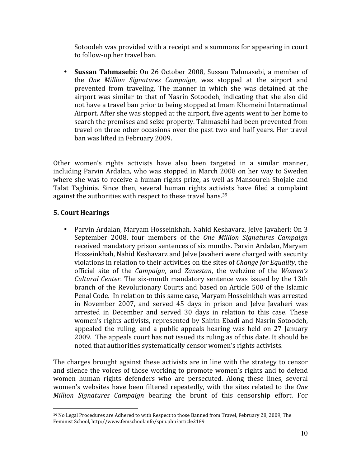Sotoodeh was provided with a receipt and a summons for appearing in court to follow‐up her travel ban.

• **Sussan Tahmasebi:** On 26 October 2008, Sussan Tahmasebi, a member of the *One Million Signatures Campaign*, was stopped at the airport and prevented from traveling. The manner in which she was detained at the airport was similar to that of Nasrin Sotoodeh, indicating that she also did not have a travel ban prior to being stopped at Imam Khomeini International Airport. After she was stopped at the airport, five agents went to her home to search the premises and seize property. Tahmasebi had been prevented from travel on three other occasions over the past two and half years. Her travel ban was lifted in February 2009.

Other women's rights activists have also been targeted in a similar manner, including Parvin Ardalan*,* who was stopped in March 2008 on her way to Sweden where she was to receive a human rights prize, as well as Mansoureh Shojaie and Talat Taghinia. Since then, several human rights activists have filed a complaint against the authorities with respect to these travel bans.<sup>39</sup>

# **5. Court Hearings**

• Parvin Ardalan, Maryam Hosseinkhah, Nahid Keshavarz, Jelve Javaheri: On 3 September 2008, four members of the *One Million Signatures Campaign* received mandatory prison sentences of six months. Parvin Ardalan, Maryam Hosseinkhah, Nahid Keshavarz and Jelve Javaheri were charged with security violations in relation to their activities on the sites of *Change for Equality*, the official site of the *Campaign*, and *Zanestan*, the webzine of the *Women's Cultural Center*. The six-month mandatory sentence was issued by the 13th branch of the Revolutionary Courts and based on Article 500 of the Islamic Penal Code. In relation to this same case, Maryam Hosseinkhah was arrested in November 2007, and served 45 days in prison and Jelve Javaheri was arrested in December and served 30 days in relation to this case. These women's rights activists, represented by Shirin Ebadi and Nasrin Sotoodeh, appealed the ruling, and a public appeals hearing was held on 27 January 2009. The appeals court has not issued its ruling as of this date. It should be noted that authorities systematically censor women's rights activists.

The charges brought against these activists are in line with the strategy to censor and silence the voices of those working to promote women's rights and to defend women human rights defenders who are persecuted. Along these lines, several women's websites have been filtered repeatedly, with the sites related to the *One Million Signatures Campaign* bearing the brunt of this censorship effort. For

<sup>-</sup><sup>39</sup> No Legal Procedures are Adhered to with Respect to those Banned from Travel, February 28, 2009, The Feminist School, http://www.femschool.info/spip.php?article2189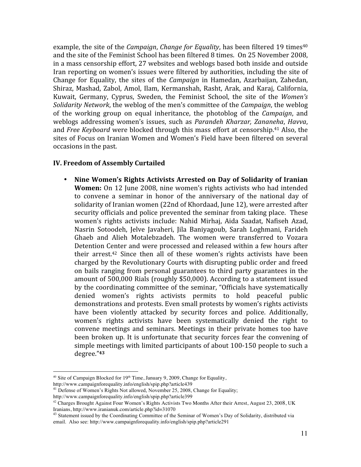example, the site of the *Campaign*, *Change for Equality*, has been filtered 19 times<sup>40</sup> and the site of the Feminist School has been filtered 8 times. On 25 November 2008, in a mass censorship effort, 27 websites and weblogs based both inside and outside Iran reporting on women's issues were filtered by authorities, including the site of Change for Equality, the sites of the *Campaign* in Hamedan, Azarbaijan, Zahedan, Shiraz, Mashad, Zabol, Amol, Ilam, Kermanshah, Rasht, Arak, and Karaj, California, Kuwait, Germany, Cyprus, Sweden, the Feminist School, the site of the *Women's Solidarity Network*, the weblog of the men's committee of the *Campaign*, the weblog of the working group on equal inheritance, the photoblog of the *Campaign*, and weblogs addressing women's issues, such as *Parandeh Kharzar, Zananeha*, *Havva*, and *Free Keyboard* were blocked through this mass effort at censorship.41 Also, the sites of Focus on Iranian Women and Women's Field have been filtered on several occasions in the past.

#### **IV. Freedom of Assembly Curtailed**

• **Nine Women's Rights Activists Arrested on Day of Solidarity of Iranian Women:** On 12 June 2008, nine women's rights activists who had intended to convene a seminar in honor of the anniversary of the national day of solidarity of Iranian women (22nd of Khordaad, June 12), were arrested after security officials and police prevented the seminar from taking place. These women's rights activists include: Nahid Mirhaj, Aida Saadat, Nafiseh Azad, Nasrin Sotoodeh, Jelve Javaheri, Jila Baniyagoub, Sarah Loghmani, Farideh Ghaeb and Alieh Motalebzadeh. The women were transferred to Vozara Detention Center and were processed and released within a few hours after their arrest.42 Since then all of these women's rights activists have been charged by the Revolutionary Courts with disrupting public order and freed on bails ranging from personal guarantees to third party guarantees in the amount of 500,000 Rials (roughly \$50,000). According to a statement issued by the coordinating committee of the seminar, "Officials have systematically denied women's rights activists permits to hold peaceful public demonstrations and protests. Even small protests by women's rights activists have been violently attacked by security forces and police. Additionally, women's rights activists have been systematically denied the right to convene meetings and seminars. Meetings in their private homes too have been broken up. It is unfortunate that security forces fear the convening of simple meetings with limited participants of about 100‐150 people to such a degree."**<sup>43</sup>**

<sup>&</sup>lt;sup>40</sup> Site of Campaign Blocked for  $19<sup>th</sup>$  Time, January 9, 2009, Change for Equality, http://www.campaignforequality.info/english/spip.php?article439

 $41$  Defense of Women's Rights Not allowed, November 25, 2008, Change for Equality;

http://www.campaignforequality.info/english/spip.php?article399

<sup>&</sup>lt;sup>42</sup> Charges Brought Against Four Women's Rights Activists Two Months After their Arrest, August 23, 2008, UK

Iranians, http://www.iranianuk.com/article.php?id=31070<br><sup>43</sup> Statement issued by the Coordinating Committee of the Seminar of Women's Day of Solidarity, distributed via email. Also see: http://www.campaignforequality.info/english/spip.php?article291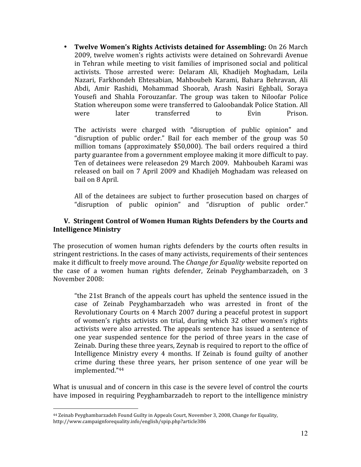• **Twelve Women's Rights Activists detained for Assembling:** On 26 March 2009, twelve women's rights activists were detained on Sohrevardi Avenue in Tehran while meeting to visit families of imprisoned social and political activists. Those arrested were: Delaram Ali, Khadijeh Moghadam, Leila Nazari, Farkhondeh Ehtesabian, Mahboubeh Karami, Bahara Behravan, Ali Abdi, Amir Rashidi, Mohammad Shoorab, Arash Nasiri Eghbali, Soraya Yousefi and Shahla Forouzanfar. The group was taken to Niloofar Police Station whereupon some were transferred to Galoobandak Police Station. All were later transferred to Evin Prison.

The activists were charged with "disruption of public opinion" and "disruption of public order." Bail for each member of the group was 50 million tomans (approximately \$50,000). The bail orders required a third party guarantee from a government employee making it more difficult to pay. Ten of detainees were releasedon 29 March 2009. Mahboubeh Karami was released on bail on 7 April 2009 and Khadijeh Moghadam was released on bail on 8 April.

All of the detainees are subject to further prosecution based on charges of "disruption of public opinion" and "disruption of public order."

## **V. Stringent Control of Women Human Rights Defenders by the Courts and Intelligence Ministry**

The prosecution of women human rights defenders by the courts often results in stringent restrictions. In the cases of many activists, requirements of their sentences make it difficult to freely move around. The *Change for Equality* website reported on the case of a women human rights defender, Zeinab Peyghambarzadeh, on 3 November 2008:

"the 21st Branch of the appeals court has upheld the sentence issued in the case of Zeinab Peyghambarzadeh who was arrested in front of the Revolutionary Courts on 4 March 2007 during a peaceful protest in support of women's rights activists on trial, during which 32 other women's rights activists were also arrested. The appeals sentence has issued a sentence of one year suspended sentence for the period of three years in the case of Zeinab. During these three years, Zeynab is required to report to the office of Intelligence Ministry every 4 months. If Zeinab is found guilty of another crime during these three years, her prison sentence of one year will be implemented."44

What is unusual and of concern in this case is the severe level of control the courts have imposed in requiring Peyghambarzadeh to report to the intelligence ministry

-

<sup>44</sup> Zeinab Peyghambarzadeh Found Guilty in Appeals Court, November 3, 2008, Change for Equality, http://www.campaignforequality.info/english/spip.php?article386